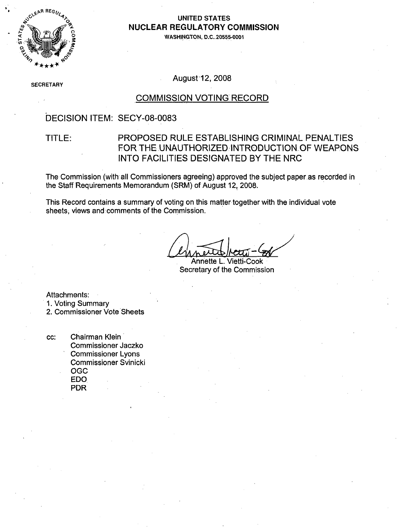

### **0 UNITED STATES 0 NUCLEAR** REGULATORY **COMMISSION**

**WASHINGTON, D.C.20555-0001**

**SECF** RETARY

August 12, 2008

### COMMISSION VOTING RECORD

### DECISION ITEM: SECY-08-0083

### TITLE: PROPOSED RULE ESTABLISHING CRIMINAL PENALTIES FOR THE UNAUTHORIZED, INTRODUCTION OF WEAPONS INTO FACILITIES DESIGNATED BY THE NRC

The Commission (with all Commissioners agreeing) approved the subject paper.as recorded in the Staff Requirements Memorandum (SRM) of August 12, 2008.

This Record contains a summary of voting on this matter together with the individual vote sheets, views and comments of the Commission.

Annette L. Vietti-Cook Secretary of the Commission

Attachments:

1. Voting Summary

2. Commissioner Vote Sheets

cc: Chairman Klein Commissioner Jaczko Commissioner Lyons Commissioner Svinicki OGC EDO PDR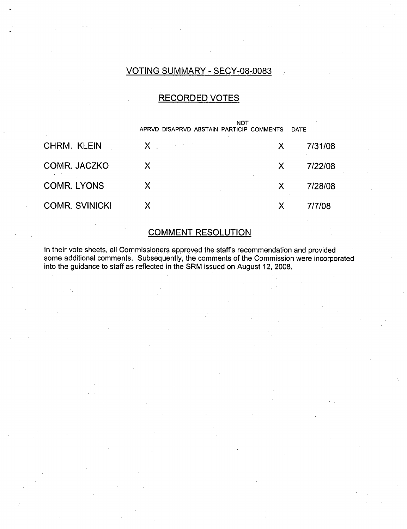### VOTING SUMMARY - SECY-08-0083

## RECORDED VOTES

|                       | APRVD DISAPRVD ABSTAIN PARTICIP COMMENTS | <b>NOT</b> | <b>DATE</b> |
|-----------------------|------------------------------------------|------------|-------------|
| CHRM. KLEIN           | $X -$                                    | X.         | 7/31/08     |
| COMR. JACZKO          | X                                        | X          | 7/22/08     |
| <b>COMR. LYONS</b>    | X                                        |            | 7/28/08     |
| <b>COMR. SVINICKI</b> | X                                        |            | 7/7/08      |

## COMMENT RESOLUTION

In their vote sheets, all Commissioners approved the staff's recommendation and provided some additional comments. Subsequently, the comments of the Commission were incorporated into the guidance to staff as reflected in the SRM issued on August 12, 2008.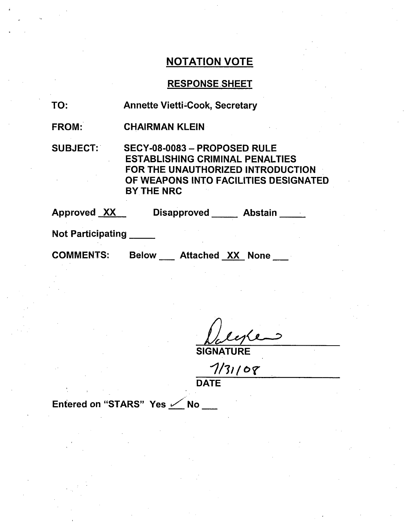## RESPONSE-SHEET

| TO: | <b>Annette Vietti-Cook, Secretary</b> |
|-----|---------------------------------------|
|-----|---------------------------------------|

FROM: CHAIRMAN KLEIN

SUBJECT: SECY-08-0083 - PROPOSED RULE ESTABLISHING CRIMINAL PENALTIES FOR THE UNAUTHORIZED INTRODUCTION OF WEAPONS INTO FACILITIES DESIGNATED BY THE NRC

Approved XX Disapproved Abstain

Not Participating **\_**

COMMENTS: Below Attached XX None

**SIGNATURE** 

*I713*

**DATE** 

Entered on "STARS" Yes  $\angle$  No \_\_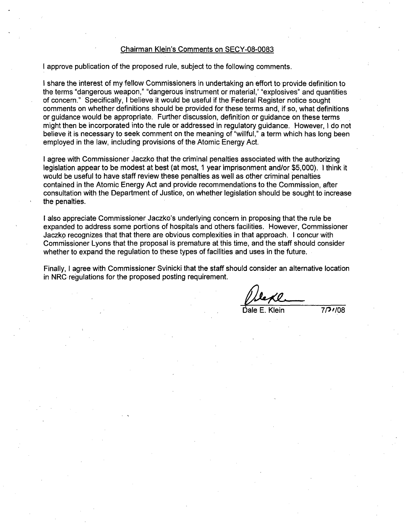#### Chairman Klein's Comments on SECY-08-0083

I approve publication of the proposed rule, subject to the following comments.

I share the interest of my fellow Commissioners in undertaking an effort to provide definition to the terms "dangerous weapon," "dangerous instrument or material,' "explosives" and quantities of concern." Specifically, I believe it would be useful if the Federal Register notice sought comments on whether definitions should be provided for these terms and, if so, what definitions or guidance would be appropriate. Further discussion, definition or guidance on these terms might then be incorporated into the rule or addressed in regulatory guidance. However, I do not believe it is necessary to seek comment on the meaning of "willful," a term which has long been employed in the law, including provisions of the Atomic Energy Act.

I agree with Commissioner Jaczko that the criminal penalties associated with the authorizing legislation appear to be modest at best (at most, 1 year imprisonment and/or \$5,000). I think it would be useful to have staff review these penalties as well as other criminal penalties contained in the Atomic Energy Act and provide recommendations to the Commission, after consultation with the Department of Justice, on whether legislation should be sought to increase the penalties.

**I** also appreciate Commissioner Jaczko's underlying concern in proposing that the rule be expanded to address some portions of hospitals and others facilities. However, Commissioner Jaczko recognizes that that there are obvious complexities in that approach. I concur with Commissioner Lyons that the proposal is premature at this time, and the staff should consider whether to expand the regulation to these types of facilities and uses in the future.

Finally, I agree with Commissioner Svinicki that the staff should consider an alternative location in NRC regulations for the proposed posting requirement.

 $Klein$   $7/9/08$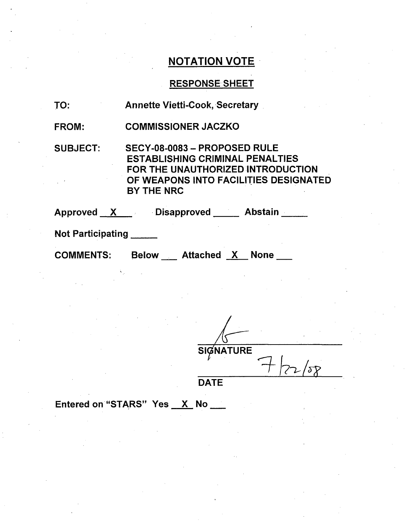## RESPONSE SHEET

| TO:                      | <b>Annette Vietti-Cook, Secretary</b>                                                                                                                              |
|--------------------------|--------------------------------------------------------------------------------------------------------------------------------------------------------------------|
| <b>FROM:</b>             | <b>COMMISSIONER JACZKO</b>                                                                                                                                         |
| <b>SUBJECT:</b>          | SECY-08-0083 - PROPOSED RULE<br><b>ESTABLISHING CRIMINAL PENALTIES</b><br>FOR THE UNAUTHORIZED INTRODUCTION<br>OF WEAPONS INTO FACILITIES DESIGNATED<br>BY THE NRC |
|                          | Approved X Disapproved Abstain                                                                                                                                     |
| <b>Not Participating</b> |                                                                                                                                                                    |
| <b>COMMENTS:</b>         | Below Attached X None                                                                                                                                              |

**SIGNATURE \_ýT** *1?72, /JT*

**DATE** 

Entered on "STARS" Yes X No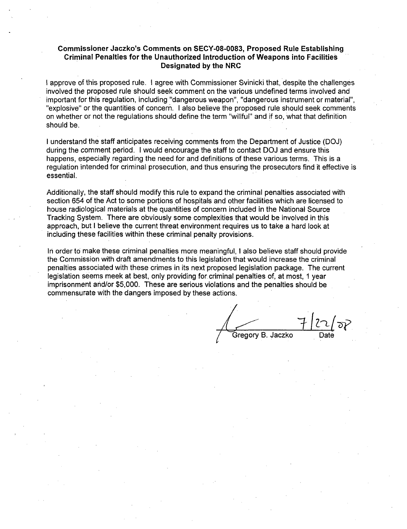#### Commissioner Jaczko's Comments on **SECY-08-0083,** Proposed Rule Establishing Criminal Penalties for the Unauthorized Introduction of Weapons into Facilities Designated **by** the NRC

I approve of this proposed rule. I agree with Commissioner Svinicki that, despite the challenges involved the proposed rule should seek comment on the various undefined terms involved and important for this regulation, including "dangerous weapon", "dangerous instrument or material", "explosive" or the quantities of concern. I also believe the proposed rule should seek comments on whether or not the regulations should define the term "willful" and if so, what that definition should be.

I understand the staff anticipates receiving comments from the Department of Justice (DOJ) during the comment period. I would encourage the staff to contact DOJ and ensure this happens, especially regarding the need for and definitions of these various terms. This is a regulation intended for criminal prosecution, and thus ensuring the prosecutors find it effective is essential.

Additionally, the staff should modify this rule to expand the criminal penalties associated with section 654 of the Act to some portions of hospitals and other facilities which are licensed to house radiological materials at the quantities of concern included in the National Source Tracking System. There are obviously some complexities that would be involved in this approach, but I believe the current threat environment requires us to take a hard look at including these facilities within these criminal penalty provisions.

In order to make these criminal penalties more meaningful, I also believe staff should provide the Commission with draft amendments to this legislation that would increase the criminal penalties associated with these crimes in its next proposed legislation package. The current legislation seems meek at best, only providing for criminal penalties of, at most, 1 year imprisonment and/or \$5,000. These are serious violations and the penalties should be commensurate with the dangers imposed by these actions.

Gregory B. Jaczko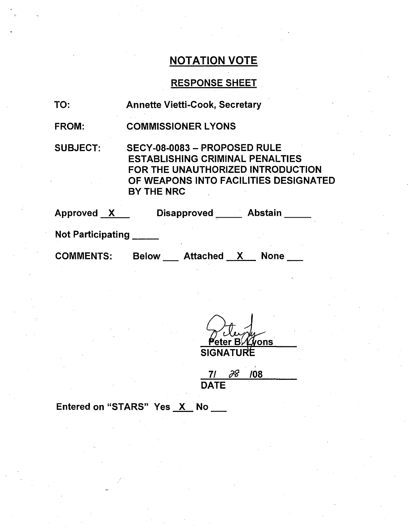## RESPONSE SHEET

| TO:                      | <b>Annette Vietti-Cook, Secretary</b>                                                                                                                                     |
|--------------------------|---------------------------------------------------------------------------------------------------------------------------------------------------------------------------|
| <b>FROM:</b>             | <b>COMMISSIONER LYONS</b>                                                                                                                                                 |
| <b>SUBJECT:</b>          | SECY-08-0083 - PROPOSED RULE<br><b>ESTABLISHING CRIMINAL PENALTIES</b><br>FOR THE UNAUTHORIZED INTRODUCTION<br>OF WEAPONS INTO FACILITIES DESIGNATED<br><b>BY THE NRC</b> |
| Approved X               | Disapproved ______ Abstain                                                                                                                                                |
| <b>Not Participating</b> |                                                                                                                                                                           |
| <b>COMMENTS:</b>         | <b>None</b><br><b>Below</b><br><b>Attached</b><br>X.                                                                                                                      |

<u>eter Bl∕ Zyons</u> SIGNATURI

7/ **/** <sup>108</sup> DATE

Entered on "STARS" Yes  $X$  No  $\_\_\_\$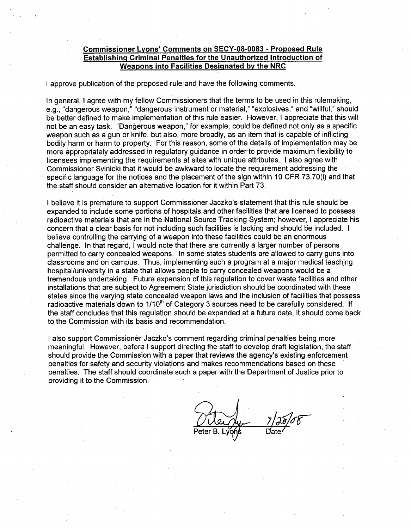#### Commissioner Lyons' Comments on **SECY-08-0083** - Proposed Rule Establishing Criminal Penalties for the Unauthorized Introduction of Weapons into Facilities Designated **by** the NRC

I approve publication of the proposed rule and have the following comments.

In general, I agree with my fellow Commissioners that the terms to be used in this rulemaking, e.g., "dangerous weapon," "dangerous instrument or material," "explosives," and "willful," should be better defined to make implementation of this rule easier. However, I appreciate that this will not be an easy task. "Dangerous weapon," for example, could be defined not only as a specific weapon such as a gun or knife, but also, more broadly, as an item that is capable of inflicting bodily harm or harm to property. For this reason, some of the details of implementation may be more appropriately addressed in regulatory guidance in order to provide maximum flexibility to licensees implementing the requirements at sites with unique attributes. I also agree with Commissioner Svinicki that it would be awkward to locate the requirement addressing the specific language for the notices and the placement of the sign within 10 CFR 73.70(i) and that the staff should consider an alternative location for it within Part 73.

I believe it is premature to support Commissioner Jaczko's statement that this rule should be expanded to include some portions of hospitals and other facilities that are licensed to possess radioactive materials that are in the National Source Tracking System; however, I appreciate his concern that a clear basis for not including such facilities is lacking and should be included. I believe controlling the carrying of a weapon into these facilities could be an enormous challenge. In that regard, I would note that there are currently a larger number of persons permitted to carry concealed weapons. In some states students are allowed to carry guns into classrooms and on campus. Thus, implementing such a program at a major medical teaching hospital/university in a state that allows people to carry concealed weapons would be a tremendous undertaking. Future expansion of this regulation to cover waste facilities and other installations that are subject to Agreement State jurisdiction should be coordinated with these states since the varying state concealed weapon laws and the inclusion of facilities that possess radioactive materials down to 1/10<sup>th</sup> of Category 3 sources need to be carefully considered. If the staff concludes that this regulation should be expanded at a future date, it should come back to the Commission with its basis and recommendation.

I also support Commissioner Jaczko's comment regarding criminal penalties being more meaningful. However, before I support directing the staff to develop draft legislation, the staff should provide the Commission with a paper that reviews the agency's existing enforcement penalties for safety and security violations and makes recommendations based on these penalties. The staff should coordinate such a paper with the Department of Justice prior to providing it to the Commission.

7) 26/08 Peter B. Lygns Date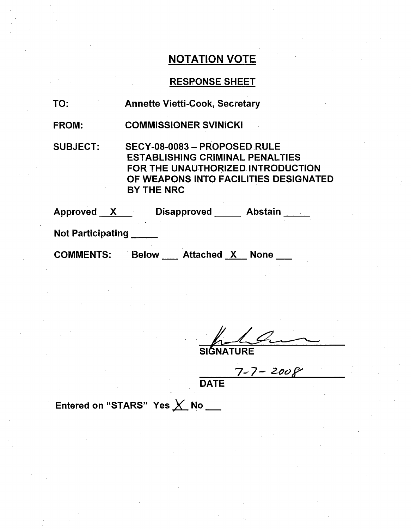## RESPONSE SHEET

| TO:               | <b>Annette Vietti-Cook, Secretary</b>                                                                                                                              |
|-------------------|--------------------------------------------------------------------------------------------------------------------------------------------------------------------|
| <b>FROM:</b>      | <b>COMMISSIONER SVINICKI</b>                                                                                                                                       |
| <b>SUBJECT:</b>   | SECY-08-0083 - PROPOSED RULE<br><b>ESTABLISHING CRIMINAL PENALTIES</b><br>FOR THE UNAUTHORIZED INTRODUCTION<br>OF WEAPONS INTO FACILITIES DESIGNATED<br>BY THE NRC |
|                   | Approved X Disapproved Abstain                                                                                                                                     |
| Not Participating |                                                                                                                                                                    |
| <b>COMMENTS:</b>  | Below Attached X None                                                                                                                                              |

SIĜNATURE

**7-?-Za**

DATE

Entered on "STARS" Yes X No